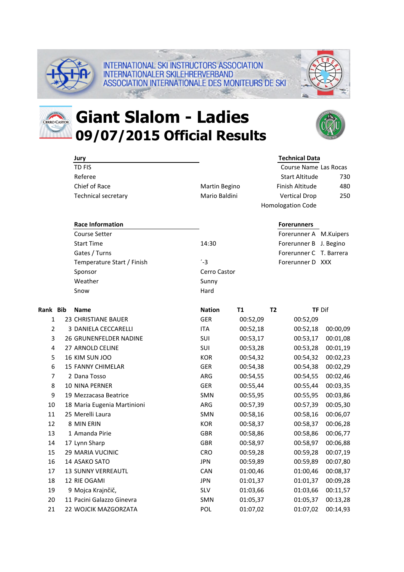

CERRO CASTOR

## **Giant Slalom - Ladies 09/07/2015 Official Results**

INTERNATIONALER SKILEHRERVERBAND

**INTERNATIONAL SKI INSTRUCTORS ASSOCIATION** 

ASSOCIATION INTERNATIONALE DES MONITEURS DE SKI



|                | Jury                        |               |           | <b>Technical Data</b>                                             |                        |                         |
|----------------|-----------------------------|---------------|-----------|-------------------------------------------------------------------|------------------------|-------------------------|
|                | TD FIS                      |               |           | Course Name Las Rocas<br><b>Start Altitude</b><br>Finish Altitude |                        |                         |
|                | Referee                     |               |           |                                                                   |                        | 730                     |
|                | Chief of Race               | Martin Begino |           |                                                                   |                        | 480                     |
|                | Technical secretary         | Mario Baldini |           | <b>Vertical Drop</b>                                              |                        | 250                     |
|                |                             |               |           | Homologation Code                                                 |                        |                         |
|                | <b>Race Information</b>     |               |           | <b>Forerunners</b>                                                |                        |                         |
|                | <b>Course Setter</b>        |               |           |                                                                   | Forerunner A M.Kuipers |                         |
|                | <b>Start Time</b>           |               | 14:30     |                                                                   |                        | Forerunner B J. Begino  |
|                | Gates / Turns               |               |           |                                                                   |                        | Forerunner C T. Barrera |
|                | Temperature Start / Finish  | $-3$          |           | Forerunner D XXX                                                  |                        |                         |
|                | Sponsor                     | Cerro Castor  |           |                                                                   |                        |                         |
|                | Weather                     | Sunny         |           |                                                                   |                        |                         |
|                | Snow                        | Hard          |           |                                                                   |                        |                         |
| Rank Bib       | <b>Name</b>                 | <b>Nation</b> | <b>T1</b> | T <sub>2</sub>                                                    |                        | <b>TF Dif</b>           |
| 1              | <b>23 CHRISTIANE BAUER</b>  | <b>GER</b>    | 00:52,09  |                                                                   | 00:52,09               |                         |
| $\overline{2}$ | 3 DANIELA CECCARELLI        | <b>ITA</b>    | 00:52,18  |                                                                   | 00:52,18               | 00:00,09                |
| 3              | 26 GRUNENFELDER NADINE      | SUI           | 00:53,17  |                                                                   | 00:53,17               | 00:01,08                |
| 4              | 27 ARNOLD CELINE            | SUI           | 00:53,28  |                                                                   | 00:53,28               | 00:01,19                |
| 5              | 16 KIM SUN JOO              | <b>KOR</b>    | 00:54,32  |                                                                   | 00:54,32               | 00:02,23                |
| 6              | 15 FANNY CHIMELAR           | <b>GER</b>    | 00:54,38  |                                                                   | 00:54,38               | 00:02,29                |
| 7              | 2 Dana Tosso                | ARG           | 00:54,55  |                                                                   | 00:54,55               | 00:02,46                |
| 8              | 10 NINA PERNER              | GER           | 00:55,44  |                                                                   | 00:55,44               | 00:03,35                |
| 9              | 19 Mezzacasa Beatrice       | <b>SMN</b>    | 00:55,95  |                                                                   | 00:55,95               | 00:03,86                |
| 10             | 18 Maria Eugenia Martinioni | ARG           | 00:57,39  |                                                                   | 00:57,39               | 00:05,30                |
| 11             | 25 Merelli Laura            | SMN           | 00:58,16  |                                                                   | 00:58,16               | 00:06,07                |
| 12             | 8 MIN ERIN                  | <b>KOR</b>    | 00:58,37  |                                                                   | 00:58,37               | 00:06,28                |
| 13             | 1 Amanda Pirie              | <b>GBR</b>    | 00:58,86  |                                                                   | 00:58,86               | 00:06,77                |
| 14             | 17 Lynn Sharp               | <b>GBR</b>    | 00:58,97  |                                                                   | 00:58,97               | 00:06,88                |
| 15             | 29 MARIA VUCINIC            | <b>CRO</b>    | 00:59,28  |                                                                   | 00:59,28               | 00:07,19                |
| 16             | 14 ASAKO SATO               | <b>JPN</b>    | 00:59,89  |                                                                   | 00:59,89               | 00:07,80                |
| 17             | 13 SUNNY VERREAUTL          | CAN           | 01:00,46  |                                                                   | 01:00,46               | 00:08,37                |
| 18             | 12 RIE OGAMI                | <b>JPN</b>    | 01:01,37  |                                                                   | 01:01,37               | 00:09,28                |
| 19             | 9 Mojca Krajnčič,           | <b>SLV</b>    | 01:03,66  |                                                                   | 01:03,66               | 00:11,57                |
| 20             | 11 Pacini Galazzo Ginevra   | SMN           | 01:05,37  |                                                                   | 01:05,37               | 00:13,28                |
| 21             | 22 WOJCIK MAZGORZATA        | POL           | 01:07,02  |                                                                   | 01:07,02               | 00:14,93                |